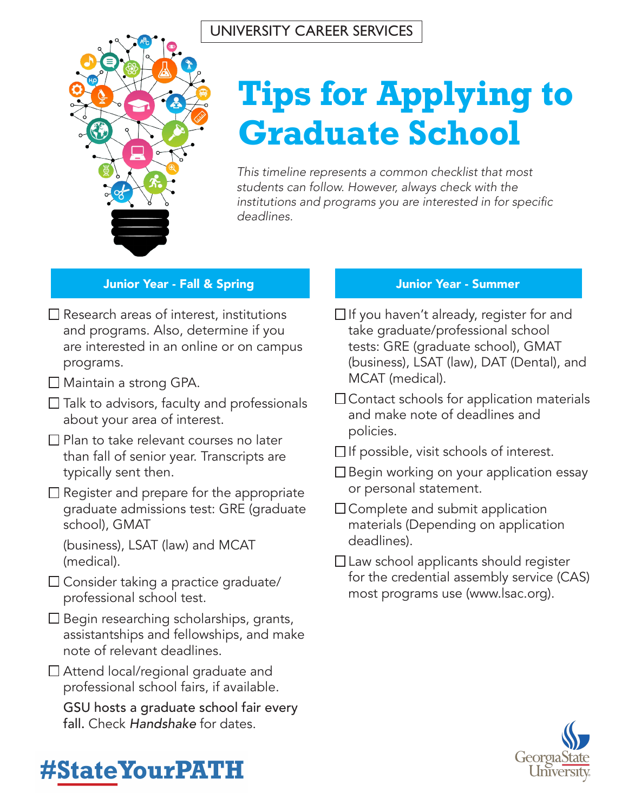

# **Tips for Applying to Graduate School**

*This timeline represents a common checklist that most students can follow. However, always check with the*  institutions and programs you are interested in for specific *deadlines.*

### Junior Year - Fall & Spring Junior Year - Summer

- $\Box$  Research areas of interest, institutions and programs. Also, determine if you are interested in an online or on campus programs.
- □ Maintain a strong GPA.
- $\square$  Talk to advisors, faculty and professionals about your area of interest.
- $\square$  Plan to take relevant courses no later than fall of senior year. Transcripts are typically sent then.
- $\Box$  Register and prepare for the appropriate graduate admissions test: GRE (graduate school), GMAT

(business), LSAT (law) and MCAT (medical).

- $\square$  Consider taking a practice graduate/ professional school test.
- $\square$  Begin researching scholarships, grants, assistantships and fellowships, and make note of relevant deadlines.
- □ Attend local/regional graduate and professional school fairs, if available.

GSU hosts a graduate school fair every fall. Check *Handshake* for dates.

- $\Box$  If you haven't already, register for and take graduate/professional school tests: GRE (graduate school), GMAT (business), LSAT (law), DAT (Dental), and MCAT (medical).
- $\Box$  Contact schools for application materials and make note of deadlines and policies.
- $\Box$  If possible, visit schools of interest.
- $\square$  Begin working on your application essay or personal statement.
- $\Box$  Complete and submit application materials (Depending on application deadlines).
- $\Box$  Law school applicants should register for the credential assembly service (CAS) most programs use (www.lsac.org).



## **#StateYourPATH**